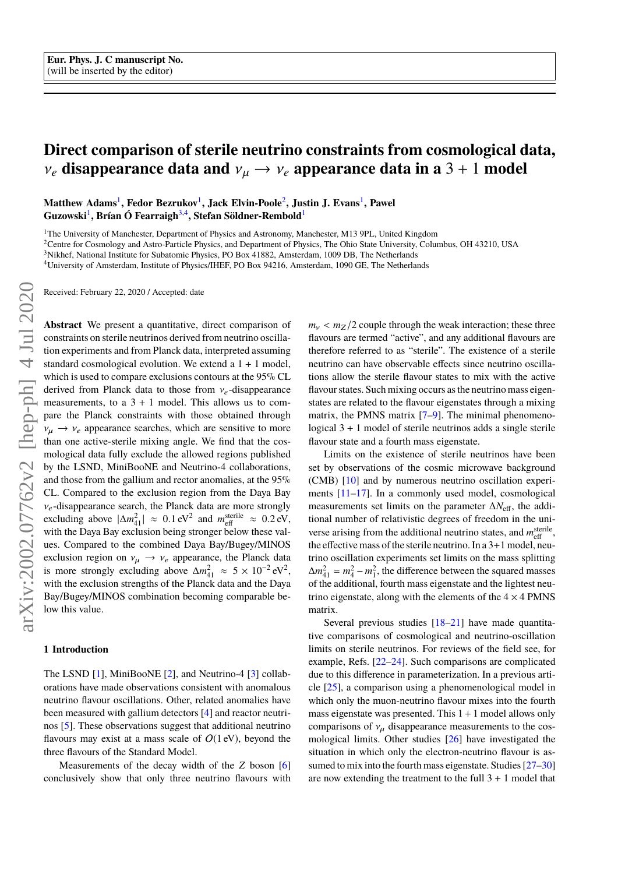# **Direct comparison of sterile neutrino constraints from cosmological data,**  $v_e$  disappearance data and  $v_\mu \rightarrow v_e$  appearance data in a 3 + 1 model

**Matthew Adams**<sup>1</sup> **, Fedor Bezrukov**<sup>1</sup> **, Jack Elvin-Poole**<sup>2</sup> **, Justin J. Evans**<sup>1</sup> **, Pawel**  $\mathbf{Guzowski}^{1}, \mathbf{Brian}$  Ó Fearraigh $^{3,4}, \mathbf{Stefan}$  Söldner-Rembold $^{1}$ 

<sup>1</sup>The University of Manchester, Department of Physics and Astronomy, Manchester, M13 9PL, United Kingdom

<sup>2</sup>Centre for Cosmology and Astro-Particle Physics, and Department of Physics, The Ohio State University, Columbus, OH 43210, USA

<sup>3</sup>Nikhef, National Institute for Subatomic Physics, PO Box 41882, Amsterdam, 1009 DB, The Netherlands

<sup>4</sup>University of Amsterdam, Institute of Physics/IHEF, PO Box 94216, Amsterdam, 1090 GE, The Netherlands

Received: February 22, 2020 / Accepted: date

**Abstract** We present a quantitative, direct comparison of constraints on sterile neutrinos derived from neutrino oscillation experiments and from Planck data, interpreted assuming standard cosmological evolution. We extend a 1 + 1 model, which is used to compare exclusions contours at the 95% CL derived from Planck data to those from  $v_e$ -disappearance measurements, to a  $3 + 1$  model. This allows us to compare the Planck constraints with those obtained through  $v_{\mu} \rightarrow v_e$  appearance searches, which are sensitive to more than one active-sterile mixing angle. We find that the cosmological data fully exclude the allowed regions published by the LSND, MiniBooNE and Neutrino-4 collaborations, and those from the gallium and rector anomalies, at the 95% CL. Compared to the exclusion region from the Daya Bay *v<sub>e</sub>*-disappearance search, the Planck data are more strongly excluding above  $|\Delta m_{\text{eff}}^2| \approx 0.1 \text{ eV}^2$  and  $m_{\text{eff}}^{\text{sterile}} \approx 0.2 \text{ eV}$ , with the Dava Bay exclusion being stronger below these values with the Daya Bay exclusion being stronger below these values. Compared to the combined Daya Bay/Bugey/MINOS exclusion region on  $v_{\mu} \rightarrow v_e$  appearance, the Planck data<br>is more strongly excluding above  $\Delta m_{41}^2 \approx 5 \times 10^{-2} \text{ eV}^2$ , with the exclusion strengths of the Planck data and the Daya Bay/Bugey/MINOS combination becoming comparable below this value.

## **1 Introduction**

The LSND [\[1\]](#page-7-0), MiniBooNE [\[2\]](#page-7-1), and Neutrino-4 [\[3\]](#page-7-2) collaborations have made observations consistent with anomalous neutrino flavour oscillations. Other, related anomalies have been measured with gallium detectors [\[4\]](#page-7-3) and reactor neutrinos [\[5\]](#page-7-4). These observations suggest that additional neutrino flavours may exist at a mass scale of  $O(1 \text{ eV})$ , beyond the three flavours of the Standard Model.

Measurements of the decay width of the *Z* boson [\[6\]](#page-7-5) conclusively show that only three neutrino flavours with

 $m<sub>v</sub> < m<sub>Z</sub>/2$  couple through the weak interaction; these three flavours are termed "active", and any additional flavours are therefore referred to as "sterile". The existence of a sterile neutrino can have observable effects since neutrino oscillations allow the sterile flavour states to mix with the active flavour states. Such mixing occurs as the neutrino mass eigenstates are related to the flavour eigenstates through a mixing matrix, the PMNS matrix  $[7-9]$  $[7-9]$ . The minimal phenomenological  $3 + 1$  model of sterile neutrinos adds a single sterile flavour state and a fourth mass eigenstate.

Limits on the existence of sterile neutrinos have been set by observations of the cosmic microwave background (CMB) [\[10\]](#page-7-8) and by numerous neutrino oscillation experiments [\[11](#page-7-9)[–17\]](#page-7-10). In a commonly used model, cosmological measurements set limits on the parameter Δ*N*<sub>eff</sub>, the additional number of relativistic degrees of freedom in the universe arising from the additional neutrino states, and  $m_{\text{eff}}^{\text{sterile}}$ , the effective mass of the sterile neutrino. In a  $3+1$  model, neutrino oscillation experiments set limits on the mass splitting  $\Delta m_{41}^2 = m_4^2 - m_1^2$ , the difference between the squared masses of the additional, fourth mass eigenstate and the lightest neutrino eigenstate, along with the elements of the  $4 \times 4$  PMNS matrix.

Several previous studies [\[18](#page-7-11)[–21\]](#page-7-12) have made quantitative comparisons of cosmological and neutrino-oscillation limits on sterile neutrinos. For reviews of the field see, for example, Refs. [\[22](#page-7-13)[–24\]](#page-8-0). Such comparisons are complicated due to this difference in parameterization. In a previous article [\[25\]](#page-8-1), a comparison using a phenomenological model in which only the muon-neutrino flavour mixes into the fourth mass eigenstate was presented. This  $1 + 1$  model allows only comparisons of  $v_{\mu}$  disappearance measurements to the cosmological limits. Other studies [\[26\]](#page-8-2) have investigated the situation in which only the electron-neutrino flavour is assumed to mix into the fourth mass eigenstate. Studies  $[27-30]$  $[27-30]$ are now extending the treatment to the full  $3 + 1$  model that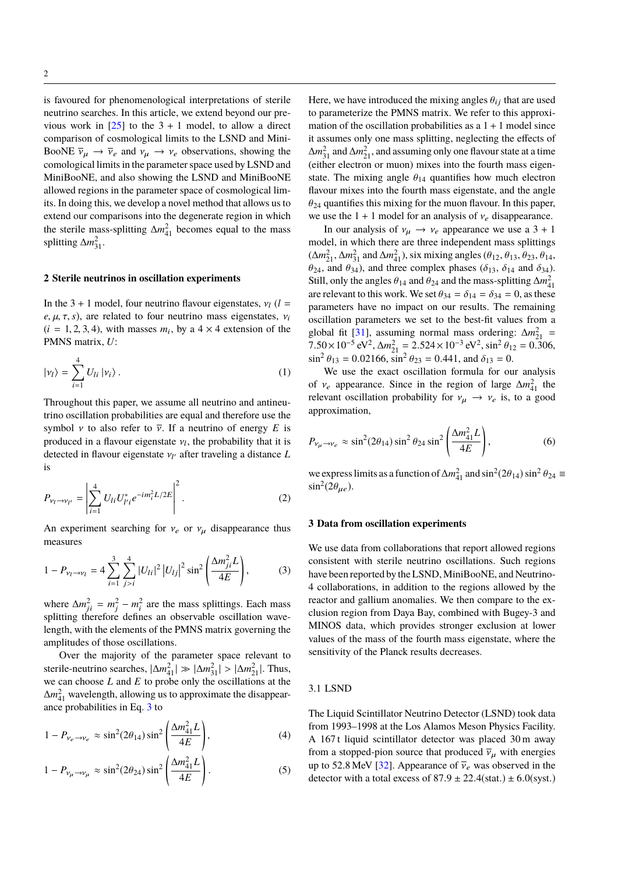is favoured for phenomenological interpretations of sterile neutrino searches. In this article, we extend beyond our previous work in  $[25]$  to the 3 + 1 model, to allow a direct comparison of cosmological limits to the LSND and Mini-BooNE  $\overline{\nu}_{\mu} \rightarrow \overline{\nu}_{e}$  and  $\nu_{\mu} \rightarrow \nu_{e}$  observations, showing the comological limits in the parameter space used by LSND and MiniBooNE, and also showing the LSND and MiniBooNE allowed regions in the parameter space of cosmological limits. In doing this, we develop a novel method that allows us to extend our comparisons into the degenerate region in which the sterile mass-splitting  $\Delta m_{41}^2$  becomes equal to the mass splitting  $\Delta m_{31}^2$ .

# **2 Sterile neutrinos in oscillation experiments**

In the 3 + 1 model, four neutrino flavour eigenstates,  $v_l$  ( $l =$ *e*,  $\mu$ ,  $\tau$ , *s*), are related to four neutrino mass eigenstates,  $v_i$  $(i = 1, 2, 3, 4)$ , with masses  $m_i$ , by a  $4 \times 4$  extension of the **PMNS** matrix  $I^i$ . PMNS matrix, *U*:

$$
|\nu_l\rangle = \sum_{i=1}^{4} U_{li} | \nu_i \rangle . \tag{1}
$$

Throughout this paper, we assume all neutrino and antineutrino oscillation probabilities are equal and therefore use the symbol *v* to also refer to  $\overline{v}$ . If a neutrino of energy *E* is produced in a flavour eigenstate  $v_l$ , the probability that it is<br>detected in flavour eigenstate  $v_u$  after traveling a distance I detected in flavour eigenstate  $v_l$  after traveling a distance *L* is

$$
P_{\nu_l \to \nu_{l'}} = \left| \sum_{i=1}^{4} U_{li} U_{l'i}^* e^{-im_i^2 L/2E} \right|^2.
$$
 (2)

<span id="page-1-0"></span>An experiment searching for  $v_e$  or  $v_\mu$  disappearance thus measures

$$
1 - P_{\nu_l \to \nu_l} = 4 \sum_{i=1}^{3} \sum_{j>i}^{4} |U_{li}|^2 |U_{lj}|^2 \sin^2 \left( \frac{\Delta m_{ji}^2 L}{4E} \right), \tag{3}
$$

where  $\Delta m_{ji}^2 = m_j^2 - m_i^2$  are the mass splittings. Each mass splitting therefore defines an observable oscillation wavelength, with the elements of the PMNS matrix governing the amplitudes of those oscillations.

Over the majority of the parameter space relevant to sterile-neutrino searches,  $|\Delta m_{41}^2| \gg |\Delta m_{31}^2| > |\Delta m_{21}^2|$ . Thus, we can choose *L* and *E* to probe only the oscillations at the ∆*m*<sup>2</sup><sub>41</sub> wavelength, allowing us to approximate the disappearance probabilities in Eq. [3](#page-1-0) to

$$
1 - P_{\nu_e \to \nu_e} \approx \sin^2(2\theta_{14}) \sin^2\left(\frac{\Delta m_{41}^2 L}{4E}\right),\tag{4}
$$

$$
1 - P_{\nu_{\mu} \to \nu_{\mu}} \approx \sin^2(2\theta_{24}) \sin^2\left(\frac{\Delta m_{41}^2 L}{4E}\right). \tag{5}
$$

Here, we have introduced the mixing angles  $\theta_{ij}$  that are used to parameterize the PMNS matrix. We refer to this approximation of the oscillation probabilities as  $a_1 + 1$  model since it assumes only one mass splitting, neglecting the effects of Δ*m*<sup>2</sup><sub>31</sub> and Δ*m*<sup>2</sup><sub>21</sub>, and assuming only one flavour state at a time (either electron or muon) mixes into the fourth mass eigenstate. The mixing angle  $\theta_{14}$  quantifies how much electron flavour mixes into the fourth mass eigenstate, and the angle  $\theta_{24}$  quantifies this mixing for the muon flavour. In this paper, we use the  $1 + 1$  model for an analysis of  $v_e$  disappearance.

In our analysis of  $v_\mu \to v_e$  appearance we use a 3 + 1 model, in which there are three independent mass splittings  $(\Delta m_{21}^2, \Delta m_{31}^2 \text{ and } \Delta m_{41}^2)$ , six mixing angles  $(\theta_{12}, \theta_{13}, \theta_{23}, \theta_{14}, \theta_{24}, \text{ and } \theta_{24})$  and three complex phases  $(\delta_{12}, \delta_{13}, \delta_{23}, \theta_{14}, \theta_{24})$  $\theta_{24}$ , and  $\theta_{34}$ ), and three complex phases ( $\delta_{13}$ ,  $\delta_{14}$  and  $\delta_{34}$ ). Still, only the angles  $\theta_{14}$  and  $\theta_{24}$  and the mass-splitting  $\Delta m_{41}^2$ <br>are relevant to this work. We set  $\theta_{24} = \delta_{14} = \delta_{24} = 0$  as these are relevant to this work. We set  $\theta_{34} = \delta_{14} = \delta_{34} = 0$ , as these parameters have no impact on our results. The remaining oscillation parameters we set to the best-fit values from a global fit [\[31\]](#page-8-5), assuming normal mass ordering:  $\Delta m_{21}^2$  = 7.50×10<sup>-5</sup> eV<sup>2</sup>,  $\Delta m_{21}^2 = 2.524 \times 10^{-3}$  eV<sup>2</sup>,  $\sin^2 \theta_{12} = 0.306$ ,<br> $\sin^2 \theta_{12} = 0.02166$ ,  $\sin^2 \theta_{22} = 0.441$ , and  $\delta_{12} = 0$  $\sin^2 \theta_{13} = 0.02166$ ,  $\sin^2 \theta_{23} = 0.441$ , and  $\delta_{13} = 0$ .<br>We use the exact oscillation formula for our

We use the exact oscillation formula for our analysis of  $v_e$  appearance. Since in the region of large  $\Delta m_{41}^2$  the relevant oscillation probability for  $y \rightarrow y$  is to a good relevant oscillation probability for  $v_{\mu} \rightarrow v_e$  is, to a good approximation,

<span id="page-1-1"></span>
$$
P_{\nu_{\mu}\to\nu_{e}} \approx \sin^{2}(2\theta_{14})\sin^{2}\theta_{24}\sin^{2}\left(\frac{\Delta m_{41}^{2}L}{4E}\right),
$$
 (6)

we express limits as a function of  $\Delta m_{41}^2$  and  $\sin^2(2\theta_{14}) \sin^2 \theta_{24} \equiv \sin^2(2\theta_1)$  $\sin^2(2\theta_{\mu e})$ .

### **3 Data from oscillation experiments**

We use data from collaborations that report allowed regions consistent with sterile neutrino oscillations. Such regions have been reported by the LSND, MiniBooNE, and Neutrino-4 collaborations, in addition to the regions allowed by the reactor and gallium anomalies. We then compare to the exclusion region from Daya Bay, combined with Bugey-3 and MINOS data, which provides stronger exclusion at lower values of the mass of the fourth mass eigenstate, where the sensitivity of the Planck results decreases.

## 3.1 LSND

The Liquid Scintillator Neutrino Detector (LSND) took data from 1993–1998 at the Los Alamos Meson Physics Facility. A 167 t liquid scintillator detector was placed 30 m away from a stopped-pion source that produced  $\overline{v}_{\mu}$  with energies up to 52.8 MeV [\[32\]](#page-8-6). Appearance of  $\overline{v}_e$  was observed in the detector with a total excess of  $87.9 \pm 22.4$ (stat.)  $\pm 6.0$ (syst.)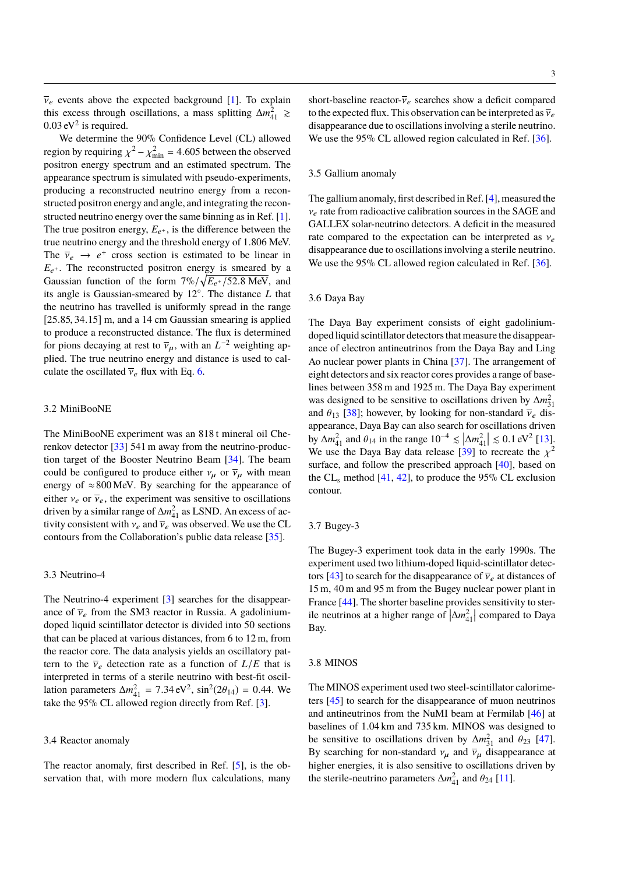$\overline{v}_e$  events above the expected background [\[1\]](#page-7-0). To explain this excess through oscillations, a mass splitting  $\Delta m_{41}^2$  ≥  $0.03 \text{ eV}^2$  is required.<br>We determine the

We determine the 90% Confidence Level (CL) allowed region by requiring  $\chi^2 - \chi_{\text{min}}^2 = 4.605$  between the observed<br>positron energy spectrum and an estimated spectrum. The positron energy spectrum and an estimated spectrum. The appearance spectrum is simulated with pseudo-experiments, producing a reconstructed neutrino energy from a reconstructed positron energy and angle, and integrating the reconstructed neutrino energy over the same binning as in Ref. [\[1\]](#page-7-0). The true positron energy,  $E_{e^+}$ , is the difference between the true neutrino energy and the threshold energy of <sup>1</sup>.<sup>806</sup> MeV. The  $\overline{v}_e \rightarrow e^+$  cross section is estimated to be linear in<br> $F_{\perp}$ . The reconstructed positron energy is smeared by a  $E_{e^+}$ . The reconstructed positron energy is smeared by a Gaussian function of the form  $7\%/\sqrt{E_{e^+}/52.8 \text{ MeV}}$ , and<br>its angle is Gaussian smeared by 12<sup>o</sup>. The distance *L* that its angle is Gaussian-smeared by 12◦ . The distance *L* that the neutrino has travelled is uniformly spread in the range [25.85, 34.15] m, and a 14 cm Gaussian smearing is applied to produce a reconstructed distance. The flux is determined for pions decaying at rest to  $\overline{\nu}_{\mu}$ , with an  $L^{-2}$  weighting applied. The true neutrino energy and distance is used to call plied. The true neutrino energy and distance is used to calculate the oscillated  $\overline{v}_e$  flux with Eq. [6.](#page-1-1)

## 3.2 MiniBooNE

The MiniBooNE experiment was an 818 t mineral oil Cherenkov detector [\[33\]](#page-8-7) 541 m away from the neutrino-production target of the Booster Neutrino Beam [\[34\]](#page-8-8). The beam could be configured to produce either  $v_\mu$  or  $\overline{v}_\mu$  with mean energy of  $\approx 800$  MeV. By searching for the appearance of either  $v_e$  or  $\overline{v}_e$ , the experiment was sensitive to oscillations driven by a similar range of  $\Delta m_{41}^2$  as LSND. An excess of activity consistent with  $v_e$  and  $\overline{v}_e$  was observed. We use the CL contours from the Collaboration's public data release [\[35\]](#page-8-9).

## 3.3 Neutrino-4

The Neutrino-4 experiment [\[3\]](#page-7-2) searches for the disappearance of  $\overline{v}_e$  from the SM3 reactor in Russia. A gadoliniumdoped liquid scintillator detector is divided into 50 sections that can be placed at various distances, from 6 to 12 m, from the reactor core. The data analysis yields an oscillatory pattern to the  $\overline{\nu}_e$  detection rate as a function of  $L/E$  that is interpreted in terms of a sterile neutrino with best-fit oscillation parameters  $\Delta m_{41}^2 = 7.34 \text{ eV}^2$ ,  $\sin^2(2\theta_{14}) = 0.44$ . We take the 95% CL allowed region directly from Ref. [3] take the 95% CL allowed region directly from Ref. [\[3\]](#page-7-2).

## 3.4 Reactor anomaly

The reactor anomaly, first described in Ref. [\[5\]](#page-7-4), is the observation that, with more modern flux calculations, many

short-baseline reactor- $\overline{v}_e$  searches show a deficit compared to the expected flux. This observation can be interpreted as  $\overline{v}_e$ disappearance due to oscillations involving a sterile neutrino. We use the 95% CL allowed region calculated in Ref. [\[36\]](#page-8-10).

## 3.5 Gallium anomaly

The gallium anomaly, first described in Ref. [\[4\]](#page-7-3), measured the  $v_e$  rate from radioactive calibration sources in the SAGE and GALLEX solar-neutrino detectors. A deficit in the measured rate compared to the expectation can be interpreted as  $v_e$ disappearance due to oscillations involving a sterile neutrino. We use the 95% CL allowed region calculated in Ref. [\[36\]](#page-8-10).

# 3.6 Daya Bay

The Daya Bay experiment consists of eight gadoliniumdoped liquid scintillator detectors that measure the disappearance of electron antineutrinos from the Daya Bay and Ling Ao nuclear power plants in China [\[37\]](#page-8-11). The arrangement of eight detectors and six reactor cores provides a range of baselines between 358 m and 1925 m. The Daya Bay experiment was designed to be sensitive to oscillations driven by  $\Delta m_{31}^2$ and  $\theta_{13}$  [\[38\]](#page-8-12); however, by looking for non-standard  $\overline{v}_e$  disappearance, Daya Bay can also search for oscillations driven by  $\Delta m_{41}^2$  and  $\theta_{14}$  in the range  $10^{-4} \le |\Delta m_{41}^2| \le 0.1 \text{ eV}^2$  [\[13\]](#page-7-14).<br>We use the Dava Bay data release [39] to recreate the  $\lambda^2$ We use the Daya Bay data release [\[39\]](#page-8-13) to recreate the  $\chi^2$ <br>surface, and follow the prescribed approach [40], based on surface, and follow the prescribed approach [\[40\]](#page-8-14), based on the  $CL_s$  method  $[41, 42]$  $[41, 42]$  $[41, 42]$ , to produce the 95% CL exclusion contour.

## 3.7 Bugey-3

The Bugey-3 experiment took data in the early 1990s. The experiment used two lithium-doped liquid-scintillator detec-tors [\[43\]](#page-8-17) to search for the disappearance of  $\overline{v}_e$  at distances of 15 m, 40 m and 95 m from the Bugey nuclear power plant in France [\[44\]](#page-8-18). The shorter baseline provides sensitivity to sterile neutrinos at a higher range of  $\left|\Delta m_{41}^2\right|$  compared to Daya Bay.

## 3.8 MINOS

The MINOS experiment used two steel-scintillator calorimeters [\[45\]](#page-8-19) to search for the disappearance of muon neutrinos and antineutrinos from the NuMI beam at Fermilab [\[46\]](#page-8-20) at baselines of 1.04 km and 735 km. MINOS was designed to be sensitive to oscillations driven by  $\Delta m_{31}^2$  and  $\theta_{23}$  [\[47\]](#page-8-21).<br>By searching for non-standard v, and  $\overline{y}$  disappearance at By searching for non-standard  $v_{\mu}$  and  $\overline{v}_{\mu}$  disappearance at higher energies, it is also sensitive to oscillations driven by the sterile-neutrino parameters  $\Delta m_{41}^2$  and  $\theta_{24}$  [\[11\]](#page-7-9).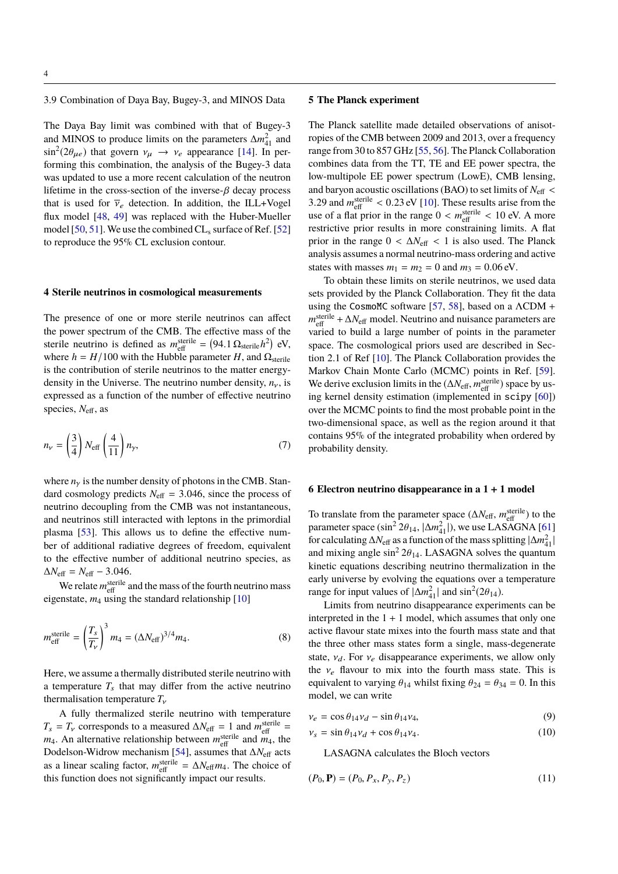3.9 Combination of Daya Bay, Bugey-3, and MINOS Data

The Daya Bay limit was combined with that of Bugey-3 and MINOS to produce limits on the parameters  $\Delta m_{41}^2$  and  $\sin^2(2\theta_{\mu e})$  that govern  $v_{\mu} \rightarrow v_e$  appearance [\[14\]](#page-7-15). In per-<br>forming this combination, the analysis of the Bugey 3 data forming this combination, the analysis of the Bugey-3 data was updated to use a more recent calculation of the neutron lifetime in the cross-section of the inverse- $\beta$  decay process that is used for  $\overline{v}_e$  detection. In addition, the ILL+Vogel flux model [\[48,](#page-8-22) [49\]](#page-8-23) was replaced with the Huber-Mueller model [\[50,](#page-8-24) [51\]](#page-8-25). We use the combined  $CL_s$  surface of Ref. [\[52\]](#page-8-26) to reproduce the 95% CL exclusion contour.

## **4 Sterile neutrinos in cosmological measurements**

The presence of one or more sterile neutrinos can affect the power spectrum of the CMB. The effective mass of the sterile neutrino is defined as  $m_{\text{eff}}^{\text{sterile}} = (94.1 \Omega_{\text{sterile}} h^2) \text{ eV}$ ,<br>where  $h = H/100$  with the Hubble parameter H and O where  $h = H/100$  with the Hubble parameter *H*, and  $\Omega_{\text{sterile}}$ is the contribution of sterile neutrinos to the matter energydensity in the Universe. The neutrino number density,  $n<sub>v</sub>$ , is expressed as a function of the number of effective neutrino species, *N*eff, as

$$
n_{\nu} = \left(\frac{3}{4}\right) N_{\text{eff}} \left(\frac{4}{11}\right) n_{\gamma},\tag{7}
$$

where  $n<sub>y</sub>$  is the number density of photons in the CMB. Standard cosmology predicts  $N_{\text{eff}} = 3.046$ , since the process of neutrino decoupling from the CMB was not instantaneous, and neutrinos still interacted with leptons in the primordial plasma [\[53\]](#page-8-27). This allows us to define the effective number of additional radiative degrees of freedom, equivalent to the effective number of additional neutrino species, as  $\Delta N_{\text{eff}} = N_{\text{eff}} - 3.046.$ 

We relate  $m_{\text{eff}}^{\text{sterile}}$  and the mass of the fourth neutrino mass eigenstate,  $m_4$  using the standard relationship  $[10]$ 

$$
m_{\text{eff}}^{\text{sterile}} = \left(\frac{T_s}{T_v}\right)^3 m_4 = \left(\Delta N_{\text{eff}}\right)^{3/4} m_4. \tag{8}
$$

Here, we assume a thermally distributed sterile neutrino with a temperature  $T_s$  that may differ from the active neutrino thermalisation temperature *<sup>T</sup>*ν

A fully thermalized sterile neutrino with temperature  $T_s = T_v$  corresponds to a measured  $\Delta N_{\text{eff}} = 1$  and  $m_{\text{eff}}^{\text{sterile}} =$  $m_4$ . An alternative relationship between  $m_{\text{eff}}^{\text{sterile}}$  and  $m_4$ , the Dodelson-Widrow mechanism [\[54\]](#page-8-28), assumes that ∆*N*eff acts as a linear scaling factor,  $m_{\text{eff}}^{\text{sterile}} = \Delta N_{\text{eff}} m_4$ . The choice of this function does not simplicantly impact our results this function does not significantly impact our results.

# **5 The Planck experiment**

The Planck satellite made detailed observations of anisotropies of the CMB between 2009 and 2013, over a frequency range from 30 to 857 GHz [\[55,](#page-8-29) [56\]](#page-8-30). The Planck Collaboration combines data from the TT, TE and EE power spectra, the low-multipole EE power spectrum (LowE), CMB lensing, and baryon acoustic oscillations (BAO) to set limits of  $N_{\text{eff}}$  < 3.29 and  $m_{\text{eff}}^{\text{sterile}} < 0.23 \text{ eV}$  [\[10\]](#page-7-8). These results arise from the use of a flat prior in the range  $0 \le m_{\text{sterile}} \le 10 \text{ eV}$ . A more use of a flat prior in the range  $0 < m_{\text{eff}}^{\text{sterile}} < 10 \text{ eV}$ . A more restrictive prior results in more constraining limits. A flat restrictive prior results in more constraining limits. A flat prior in the range  $0 < \Delta N_{\text{eff}} < 1$  is also used. The Planck analysis assumes a normal neutrino-mass ordering and active states with masses  $m_1 = m_2 = 0$  and  $m_3 = 0.06$  eV.

To obtain these limits on sterile neutrinos, we used data sets provided by the Planck Collaboration. They fit the data using the CosmoMC software [\[57,](#page-8-31) [58\]](#page-8-32), based on a  $\Lambda$ CDM + *m*<sup>sterile</sup> + ∆*N*<sub>eff</sub> model. Neutrino and nuisance parameters are varied to build a large number of points in the parameter space. The cosmological priors used are described in Section 2.1 of Ref [\[10\]](#page-7-8). The Planck Collaboration provides the Markov Chain Monte Carlo (MCMC) points in Ref. [\[59\]](#page-8-33). We derive exclusion limits in the  $(\Delta N_{\text{eff}}, m_{\text{eff}}^{\text{sterile}})$  space by us-<br>ing kernel density estimation (implemented in sciny [60]) ing kernel density estimation (implemented in scipy [\[60\]](#page-8-34)) over the MCMC points to find the most probable point in the two-dimensional space, as well as the region around it that contains 95% of the integrated probability when ordered by probability density.

## **6 Electron neutrino disappearance in a 1** + **1 model**

To translate from the parameter space ( $\Delta N_{\text{eff}}$ ,  $m_{\text{eff}}^{\text{sterile}}$ ) to the parameter space (sin<sup>2</sup> 2 $\theta_{14}$ ,  $|\Delta m_{41}^2|$ ), we use LASAGNA [\[61\]](#page-8-35)<br>for calculating  $\Delta N_{\rm g}$  as a function of the mass splitting  $|\Delta m^2|$ for calculating  $\Delta N_{\text{eff}}$  as a function of the mass splitting  $|\Delta m_{41}^2|$ and mixing angle  $\sin^2 2\theta_{14}$ . LASAGNA solves the quantum kinetic equations describing neutrino thermalization in the early universe by evolving the equations over a temperature range for input values of  $|\Delta m_{41}^2|$  and  $\sin^2(2\theta_{14})$ .<br>
I imite from neutrino disappearance experi-

<span id="page-3-0"></span>Limits from neutrino disappearance experiments can be interpreted in the  $1 + 1$  model, which assumes that only one active flavour state mixes into the fourth mass state and that the three other mass states form a single, mass-degenerate state,  $v_d$ . For  $v_e$  disappearance experiments, we allow only the  $v_e$  flavour to mix into the fourth mass state. This is equivalent to varying  $\theta_{14}$  whilst fixing  $\theta_{24} = \theta_{34} = 0$ . In this model, we can write

$$
\nu_e = \cos \theta_{14} \nu_d - \sin \theta_{14} \nu_4,\tag{9}
$$

$$
\nu_s = \sin \theta_{14} \nu_d + \cos \theta_{14} \nu_4. \tag{10}
$$

LASAGNA calculates the Bloch vectors

$$
(P_0, \mathbf{P}) = (P_0, P_x, P_y, P_z) \tag{11}
$$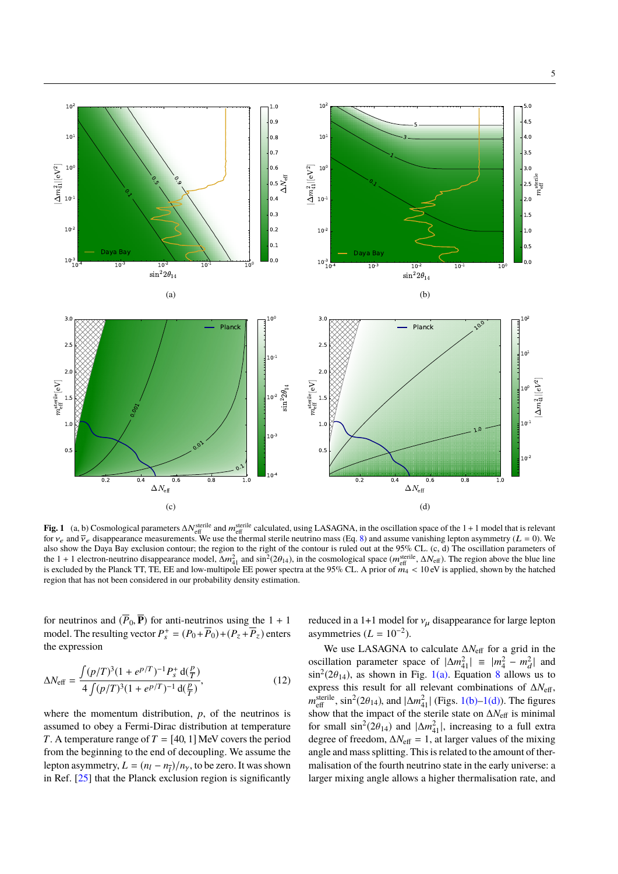<span id="page-4-1"></span>5

<span id="page-4-0"></span>

**Fig. 1** (a, b) Cosmological parameters  $\Delta N_{\text{eff}}^{\text{sterile}}$  and  $m_{\text{eff}}^{\text{sterile}}$  calculated, using LASAGNA, in the oscillation space of the 1 + 1 model that is relevant for  $v_e$  and  $\bar{v}_e$  disappearance measurements. We use the thermal sterile neutrino mass (Eq. [8\)](#page-3-0) and assume vanishing lepton asymmetry (L = 0). We also show the Daya Bay exclusion contour; the region to the right of the contour is ruled out at the 95% CL. (c, d) The oscillation parameters of the 1 + 1 electron-neutrino disappearance model,  $\Delta m_{41}^2$  and  $\sin^2(2\theta_{14})$ , in the cosmological space  $(m_{\text{eff}}^{\text{sterile}}, \Delta N_{\text{eff}})$ . The region above the blue line<br>is excluded by the Planck TT TE EE and low-multipole EE is excluded by the Planck TT, TE, EE and low-multipole EE power spectra at the 95% CL. A prior of  $m_4 < 10 \text{ eV}$  is applied, shown by the hatched region that has not been considered in our probability density estimation. region that has not been considered in our probability density estimation.

for neutrinos and  $(\overline{P}_0, \overline{P})$  for anti-neutrinos using the 1 + 1 model. The resulting vector  $P_s^+ = (P_0 + \overline{P}_0) + (P_z + \overline{P}_z)$  enters the expression

$$
\Delta N_{\text{eff}} = \frac{\int (p/T)^3 (1 + e^{p/T})^{-1} P_s^+ \, \mathrm{d}(\frac{p}{T})}{4 \int (p/T)^3 (1 + e^{p/T})^{-1} \, \mathrm{d}(\frac{p}{T})},\tag{12}
$$

where the momentum distribution, *p*, of the neutrinos is assumed to obey a Fermi-Dirac distribution at temperature *T*. A temperature range of  $T = [40, 1]$  MeV covers the period from the beginning to the end of decoupling. We assume the lepton asymmetry,  $L = (n_l - n_{\overline{l}})/n_{\gamma}$ , to be zero. It was shown<br>in Ref. [25] that the Planels avaluated region is significantly in Ref.  $[25]$  that the Planck exclusion region is significantly

<span id="page-4-2"></span>reduced in a 1+1 model for  $v_\mu$  disappearance for large lepton asymmetries  $(L = 10^{-2})$ .

We use LASAGNA to calculate ∆*N*eff for a grid in the oscillation parameter space of  $|\Delta m_{41}^2| \equiv |m_4^2 - m_d^2|$  and  $\sin^2(2\theta_{14})$ , as shown in Fig. [1\(a\).](#page-4-0) Equation [8](#page-3-0) allows us to express this result for all relevant combinations of  $\Delta N =$ express this result for all relevant combinations of ∆*N*eff,  $m_{\text{eff}}^{\text{sterile}}$ ,  $\sin^2(2\theta_{14})$ , and  $|\Delta m_{41}^2|$  (Figs. [1\(b\)](#page-4-1)[–1\(d\)\)](#page-4-2). The figures<br>show that the impact of the sterile state on A*N* g is minimal show that the impact of the sterile state on ∆*N*eff is minimal for small  $\sin^2(2\theta_{14})$  and  $|\Delta m_{41}^2|$ , increasing to a full extra<br>degree of freedom  $\Delta M = 1$ , at larger values of the mixing degree of freedom,  $\Delta N_{\text{eff}} = 1$ , at larger values of the mixing angle and mass splitting. This is related to the amount of thermalisation of the fourth neutrino state in the early universe: a larger mixing angle allows a higher thermalisation rate, and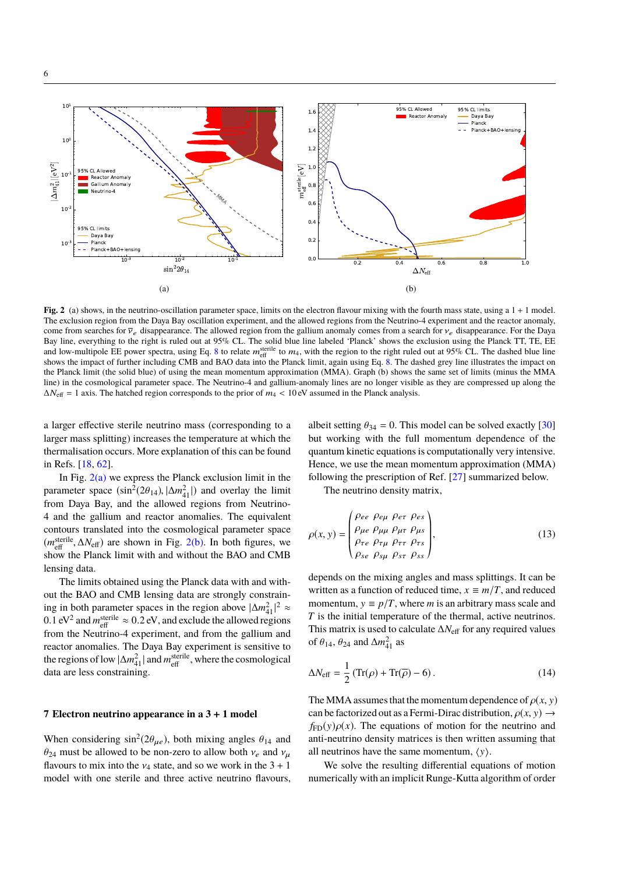<span id="page-5-0"></span>

**Fig. 2** (a) shows, in the neutrino-oscillation parameter space, limits on the electron flavour mixing with the fourth mass state, using a 1 + 1 model. The exclusion region from the Daya Bay oscillation experiment, and the allowed regions from the Neutrino-4 experiment and the reactor anomaly, come from searches for  $\overline{v}_e$  disappearance. The allowed region from the gallium anomaly comes from a search for  $v_e$  disappearance. For the Daya Bay line, everything to the right is ruled out at 95% CL. The solid blue line labeled 'Planck' shows the exclusion using the Planck TT, TE, EE and low-multipole EE power spectra, using Eq. [8](#page-3-0) to relate  $m_{\text{eff}}^{\text{sterile}}$  to  $m_4$ , with the region to the right ruled out at 95% CL. The dashed blue line shows the impact of further including CMB and BAO data into the Planck limit, again using Eq. [8.](#page-3-0) The dashed grey line illustrates the impact on the Planck limit (the solid blue) of using the mean momentum approximation (MMA). Graph (b) shows the same set of limits (minus the MMA line) in the cosmological parameter space. The Neutrino-4 and gallium-anomaly lines are no longer visible as they are compressed up along the  $\Delta N_{\text{eff}} = 1$  axis. The hatched region corresponds to the prior of  $m_4 < 10 \text{ eV}$  assumed in the Planck analysis.

a larger effective sterile neutrino mass (corresponding to a larger mass splitting) increases the temperature at which the thermalisation occurs. More explanation of this can be found in Refs. [\[18,](#page-7-11) [62\]](#page-8-36).

In Fig.  $2(a)$  we express the Planck exclusion limit in the parameter space  $(\sin^2(2\theta_{14}), |\Delta m_{41}^2|)$  and overlay the limit<br>from Dave Bay, and the allowed regions from Neutrino from Daya Bay, and the allowed regions from Neutrino-4 and the gallium and reactor anomalies. The equivalent contours translated into the cosmological parameter space  $(m_{\text{eff}}^{\text{sterile}}, \Delta N_{\text{eff}})$  are shown in Fig. [2\(b\).](#page-5-1) In both figures, we show the Planck limit with and without the BAO and CMB show the Planck limit with and without the BAO and CMB lensing data.

The limits obtained using the Planck data with and without the BAO and CMB lensing data are strongly constraining in both parameter spaces in the region above  $|\Delta m_{41}^2|^2$  ≈ 0.1 eV<sup>2</sup> and  $m_{\text{eff}}^{\text{sterile}} \approx 0.2 \text{ eV}$ , and exclude the allowed regions from the Neutrino 4 experiment, and from the gallium and from the Neutrino-4 experiment, and from the gallium and reactor anomalies. The Daya Bay experiment is sensitive to the regions of low  $|\Delta m_{41}^2|$  and  $m_{\text{eff}}^{\text{sterile}}$ , where the cosmological data are less constraining.

# **7 Electron neutrino appearance in a 3** + **1 model**

When considering  $\sin^2(2\theta_{\mu e})$ , both mixing angles  $\theta_{14}$  and  $\theta_{24}$ , must be allowed to be non-zero to allow both  $y_1$  and  $y_2$ .  $\theta_{24}$  must be allowed to be non-zero to allow both  $v_e$  and  $v_u$ flavours to mix into the  $v_4$  state, and so we work in the  $3 + 1$ model with one sterile and three active neutrino flavours,

<span id="page-5-1"></span>albeit setting  $\theta_{34} = 0$ . This model can be solved exactly [\[30\]](#page-8-4) but working with the full momentum dependence of the quantum kinetic equations is computationally very intensive. Hence, we use the mean momentum approximation (MMA) following the prescription of Ref. [\[27\]](#page-8-3) summarized below.

The neutrino density matrix,

$$
\rho(x, y) = \begin{pmatrix} \rho_{ee} & \rho_{e\mu} & \rho_{e\tau} & \rho_{es} \\ \rho_{\mu e} & \rho_{\mu\mu} & \rho_{\mu\tau} & \rho_{\mu s} \\ \rho_{\tau e} & \rho_{\tau\mu} & \rho_{\tau\tau} & \rho_{\tau s} \\ \rho_{se} & \rho_{s\mu} & \rho_{s\tau} & \rho_{ss} \end{pmatrix},
$$
\n(13)

depends on the mixing angles and mass splittings. It can be written as a function of reduced time,  $x \equiv m/T$ , and reduced momentum,  $y \equiv p/T$ , where *m* is an arbitrary mass scale and *T* is the initial temperature of the thermal, active neutrinos. This matrix is used to calculate ∆*N*eff for any required values of  $\theta_{14}$ ,  $\theta_{24}$  and  $\Delta m_{41}^2$  as

$$
\Delta N_{\text{eff}} = \frac{1}{2} \left( \text{Tr}(\rho) + \text{Tr}(\overline{\rho}) - 6 \right). \tag{14}
$$

The MMA assumes that the momentum dependence of  $\rho(x, y)$ can be factorized out as a Fermi-Dirac distribution,  $\rho(x, y) \rightarrow$  $f_{FD}(y)\rho(x)$ . The equations of motion for the neutrino and anti-neutrino density matrices is then written assuming that all neutrinos have the same momentum,  $\langle y \rangle$ .

We solve the resulting differential equations of motion numerically with an implicit Runge-Kutta algorithm of order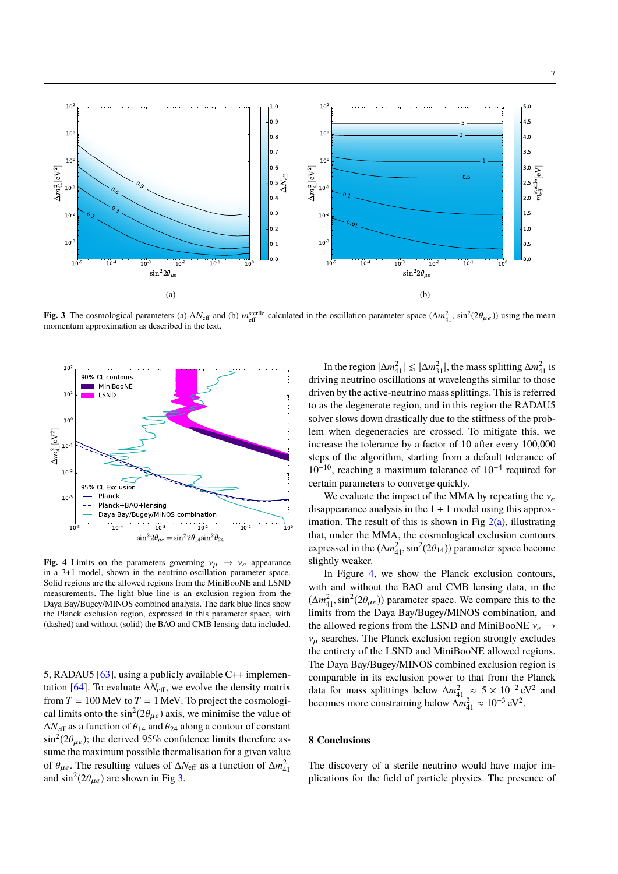

<span id="page-6-0"></span>**Fig. 3** The cosmological parameters (a)  $\Delta N_{\text{eff}}$  and (b)  $m_{\text{eff}}^{\text{sterile}}$  calculated in the oscillation parameter space  $(\Delta m_{41}^2, \sin^2(2\theta_{\mu e}))$  using the mean momentum annoximation as described in the text momentum approximation as described in the text.



<span id="page-6-1"></span>**Fig. 4** Limits on the parameters governing  $v_{\mu} \rightarrow v_e$  appearance in a 3+1 model, shown in the neutrino-oscillation parameter space. Solid regions are the allowed regions from the MiniBooNE and LSND measurements. The light blue line is an exclusion region from the Daya Bay/Bugey/MINOS combined analysis. The dark blue lines show the Planck exclusion region, expressed in this parameter space, with (dashed) and without (solid) the BAO and CMB lensing data included.

5, RADAU5 [\[63\]](#page-8-37), using a publicly available C++ implemen-tation [\[64\]](#page-8-38). To evaluate  $\Delta N_{\text{eff}}$ , we evolve the density matrix from  $T = 100$  MeV to  $T = 1$  MeV. To project the cosmological limits onto the  $\sin^2(2\theta_{\mu e})$  axis, we minimise the value of  $\Delta N$  a 2.3 function of  $\theta_{\mu\nu}$  and  $\theta_{\nu\mu}$  along a contour of constant  $\Delta N_{\text{eff}}$  as a function of  $\theta_{14}$  and  $\theta_{24}$  along a contour of constant  $\sin^2(2\theta_{\mu e})$ ; the derived 95% confidence limits therefore assume the maximum possible thermalisation for a given value of  $\theta_{\mu e}$ . The resulting values of  $\Delta N_{\text{eff}}$  as a function of  $\Delta m_{41}^2$ and  $\sin^2(2\theta_{\mu e})$  are shown in Fig [3.](#page-6-0)

In the region  $|\Delta m_{41}^2| \le |\Delta m_{31}^2|$ , the mass splitting  $\Delta m_{41}^2$  is driving neutrino oscillations at wavelengths similar to those driven by the active-neutrino mass splittings. This is referred to as the degenerate region, and in this region the RADAU5 solver slows down drastically due to the stiffness of the problem when degeneracies are crossed. To mitigate this, we increase the tolerance by a factor of 10 after every 100,000 steps of the algorithm, starting from a default tolerance of 10−10, reaching a maximum tolerance of 10−<sup>4</sup> required for certain parameters to converge quickly.

We evaluate the impact of the MMA by repeating the  $v_e$ disappearance analysis in the  $1 + 1$  model using this approximation. The result of this is shown in Fig  $2(a)$ , illustrating that, under the MMA, the cosmological exclusion contours expressed in the  $(\Delta m_{41}^2, \sin^2(2\theta_{14}))$  parameter space become<br>slightly weaker slightly weaker.

In Figure [4,](#page-6-1) we show the Planck exclusion contours, with and without the BAO and CMB lensing data, in the  $(\Delta m_{41}^2, \sin^2(2\theta_{\mu e}))$  parameter space. We compare this to the limits from the Dava Bay/Burgy/MINOS combination and limits from the Daya Bay/Bugey/MINOS combination, and the allowed regions from the LSND and MiniBooNE  $v_e \rightarrow$  $v_{\mu}$  searches. The Planck exclusion region strongly excludes the entirety of the LSND and MiniBooNE allowed regions. The Daya Bay/Bugey/MINOS combined exclusion region is comparable in its exclusion power to that from the Planck data for mass splittings below  $\Delta m_{41}^2 \approx 5 \times 10^{-2} \text{ eV}^2$  and becomes more constraining below  $\Delta m_{41}^2 \approx 10^{-3} \text{ eV}^2$ .

# **8 Conclusions**

The discovery of a sterile neutrino would have major implications for the field of particle physics. The presence of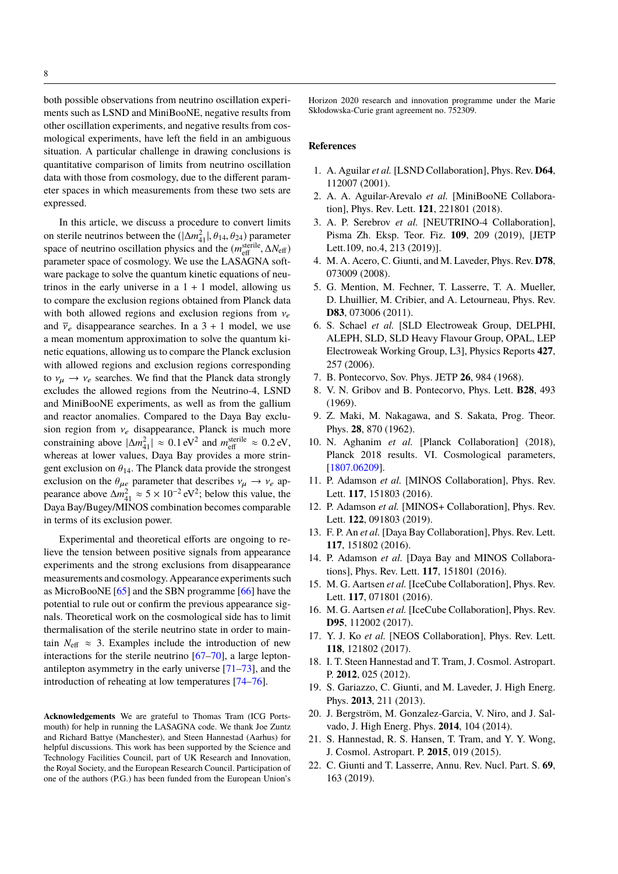both possible observations from neutrino oscillation experiments such as LSND and MiniBooNE, negative results from other oscillation experiments, and negative results from cosmological experiments, have left the field in an ambiguous situation. A particular challenge in drawing conclusions is quantitative comparison of limits from neutrino oscillation data with those from cosmology, due to the different parameter spaces in which measurements from these two sets are expressed.

In this article, we discuss a procedure to convert limits on sterile neutrinos between the  $(|\Delta m_{41}^2|, \theta_{14}, \theta_{24})$  parameter<br>space of neutrino oscillation physics and the  $(m_{\text{eff}}^{\text{sterile}}, \Delta N_{\text{eff}})$ <br>parameter space of cosmology. We use the LASAGNA soft parameter space of cosmology. We use the LASAGNA software package to solve the quantum kinetic equations of neutrinos in the early universe in a  $1 + 1$  model, allowing us to compare the exclusion regions obtained from Planck data with both allowed regions and exclusion regions from  $v_e$ and  $\overline{v}_e$  disappearance searches. In a 3 + 1 model, we use a mean momentum approximation to solve the quantum kinetic equations, allowing us to compare the Planck exclusion with allowed regions and exclusion regions corresponding to  $v_{\mu} \rightarrow v_e$  searches. We find that the Planck data strongly excludes the allowed regions from the Neutrino-4, LSND and MiniBooNE experiments, as well as from the gallium and reactor anomalies. Compared to the Daya Bay exclusion region from  $v_e$  disappearance, Planck is much more constraining above  $|\Delta m_{41}^2| \approx 0.1 \text{ eV}^2$  and  $m_{\text{eff}}^{\text{sterile}} \approx 0.2 \text{ eV}$ , whereas at lower values. Dave Bay provides a more string whereas at lower values, Daya Bay provides a more stringent exclusion on  $\theta_{14}$ . The Planck data provide the strongest exclusion on the  $\theta_{\mu e}$  parameter that describes  $v_{\mu} \rightarrow v_e$  apexclusion on the  $\theta_{\mu e}$  parameter that describes  $v_{\mu} \rightarrow v_{e}$  appearance above  $\Delta m_{41}^2 \approx 5 \times 10^{-2} \text{ eV}^2$ ; below this value, the Daya Bay/Bugey/MINOS combination becomes comparable in terms of its exclusion power.

Experimental and theoretical efforts are ongoing to relieve the tension between positive signals from appearance experiments and the strong exclusions from disappearance measurements and cosmology. Appearance experiments such as MicroBooNE [\[65\]](#page-8-39) and the SBN programme [\[66\]](#page-8-40) have the potential to rule out or confirm the previous appearance signals. Theoretical work on the cosmological side has to limit thermalisation of the sterile neutrino state in order to maintain  $N_{\text{eff}} \approx 3$ . Examples include the introduction of new interactions for the sterile neutrino  $[67-70]$  $[67-70]$ , a large leptonantilepton asymmetry in the early universe [\[71–](#page-8-43)[73\]](#page-8-44), and the introduction of reheating at low temperatures [\[74–](#page-8-45)[76\]](#page-8-46).

**Acknowledgements** We are grateful to Thomas Tram (ICG Portsmouth) for help in running the LASAGNA code. We thank Joe Zuntz and Richard Battye (Manchester), and Steen Hannestad (Aarhus) for helpful discussions. This work has been supported by the Science and Technology Facilities Council, part of UK Research and Innovation, the Royal Society, and the European Research Council. Participation of one of the authors (P.G.) has been funded from the European Union's Horizon 2020 research and innovation programme under the Marie Skłodowska-Curie grant agreement no. 752309.

## **References**

- <span id="page-7-0"></span>1. A. Aguilar *et al.* [LSND Collaboration], Phys. Rev. **D64**, 112007 (2001).
- <span id="page-7-1"></span>2. A. A. Aguilar-Arevalo *et al.* [MiniBooNE Collaboration], Phys. Rev. Lett. **121**, 221801 (2018).
- <span id="page-7-2"></span>3. A. P. Serebrov *et al.* [NEUTRINO-4 Collaboration], Pisma Zh. Eksp. Teor. Fiz. **109**, 209 (2019), [JETP Lett.109, no.4, 213 (2019)].
- <span id="page-7-3"></span>4. M. A. Acero, C. Giunti, and M. Laveder, Phys. Rev. **D78**, 073009 (2008).
- <span id="page-7-4"></span>5. G. Mention, M. Fechner, T. Lasserre, T. A. Mueller, D. Lhuillier, M. Cribier, and A. Letourneau, Phys. Rev. **D83**, 073006 (2011).
- <span id="page-7-5"></span>6. S. Schael *et al.* [SLD Electroweak Group, DELPHI, ALEPH, SLD, SLD Heavy Flavour Group, OPAL, LEP Electroweak Working Group, L3], Physics Reports **427**, 257 (2006).
- <span id="page-7-6"></span>7. B. Pontecorvo, Sov. Phys. JETP **26**, 984 (1968).
- 8. V. N. Gribov and B. Pontecorvo, Phys. Lett. **B28**, 493 (1969).
- <span id="page-7-7"></span>9. Z. Maki, M. Nakagawa, and S. Sakata, Prog. Theor. Phys. **28**, 870 (1962).
- <span id="page-7-8"></span>10. N. Aghanim *et al.* [Planck Collaboration] (2018), Planck 2018 results. VI. Cosmological parameters, [\[1807.06209\]](http://arxiv.org/abs/1807.06209).
- <span id="page-7-9"></span>11. P. Adamson *et al.* [MINOS Collaboration], Phys. Rev. Lett. **117**, 151803 (2016).
- 12. P. Adamson *et al.* [MINOS+ Collaboration], Phys. Rev. Lett. **122**, 091803 (2019).
- <span id="page-7-14"></span>13. F. P. An *et al.* [Daya Bay Collaboration], Phys. Rev. Lett. **117**, 151802 (2016).
- <span id="page-7-15"></span>14. P. Adamson *et al.* [Daya Bay and MINOS Collaborations], Phys. Rev. Lett. **117**, 151801 (2016).
- 15. M. G. Aartsen *et al.* [IceCube Collaboration], Phys. Rev. Lett. **117**, 071801 (2016).
- 16. M. G. Aartsen *et al.* [IceCube Collaboration], Phys. Rev. **D95**, 112002 (2017).
- <span id="page-7-10"></span>17. Y. J. Ko *et al.* [NEOS Collaboration], Phys. Rev. Lett. **118**, 121802 (2017).
- <span id="page-7-11"></span>18. I. T. Steen Hannestad and T. Tram, J. Cosmol. Astropart. P. **2012**, 025 (2012).
- 19. S. Gariazzo, C. Giunti, and M. Laveder, J. High Energ. Phys. **2013**, 211 (2013).
- 20. J. Bergström, M. Gonzalez-Garcia, V. Niro, and J. Salvado, J. High Energ. Phys. **2014**, 104 (2014).
- <span id="page-7-12"></span>21. S. Hannestad, R. S. Hansen, T. Tram, and Y. Y. Wong, J. Cosmol. Astropart. P. **2015**, 019 (2015).
- <span id="page-7-13"></span>22. C. Giunti and T. Lasserre, Annu. Rev. Nucl. Part. S. **69**, 163 (2019).